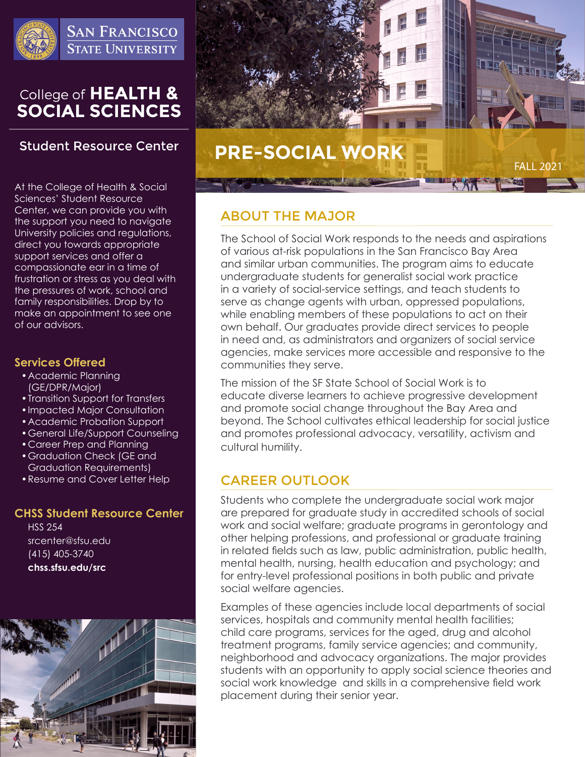

**SAN FRANCISCO STATE UNIVERSITY** 

# College of HEALTH &<br>SOCIAL SCIENCES

## **Student Resource Center**

At the College of Health & Social Sciences' Student Resource Center, we can provide you with the support you need to navigate University policies and regulations, direct you towards appropriate support services and offer a compassionate ear in a time of frustration or stress as you deal with the pressures of work, school and family responsibilities. Drop by to make an appointment to see one of our advisors.

## **Services Offered**

- •Academic Planning (GE/DPR/Major)
- •Transition Support for Transfers
- •Impacted Major Consultation
- •Academic Probation Support
- •General Life/Support Counseling
- •Career Prep and Planning
- •Graduation Check (GE and Graduation Requirements)
- •Resume and Cover Letter Help

## **CHSS Student Resource Center**

HSS 254 srcenter@sfsu.edu (415) 405-3740 **chss.sfsu.edu/src**





# ABOUT THE MAJOR

The School of Social Work responds to the needs and aspirations of various at-risk populations in the San Francisco Bay Area and similar urban communities. The program aims to educate undergraduate students for generalist social work practice in a variety of social-service settings, and teach students to serve as change agents with urban, oppressed populations, while enabling members of these populations to act on their own behalf. Our graduates provide direct services to people in need and, as administrators and organizers of social service agencies, make services more accessible and responsive to the communities they serve.

The mission of the SF State School of Social Work is to educate diverse learners to achieve progressive development and promote social change throughout the Bay Area and beyond. The School cultivates ethical leadership for social justice and promotes professional advocacy, versatility, activism and cultural humility.

# CAREER OUTLOOK

Students who complete the undergraduate social work major are prepared for graduate study in accredited schools of social work and social welfare; graduate programs in gerontology and other helping professions, and professional or graduate training in related fields such as law, public administration, public health, mental health, nursing, health education and psychology; and for entry-level professional positions in both public and private social welfare agencies.

Examples of these agencies include local departments of social services, hospitals and community mental health facilities; child care programs, services for the aged, drug and alcohol treatment programs, family service agencies; and community, neighborhood and advocacy organizations. The major provides students with an opportunity to apply social science theories and social work knowledge and skills in a comprehensive field work placement during their senior year.